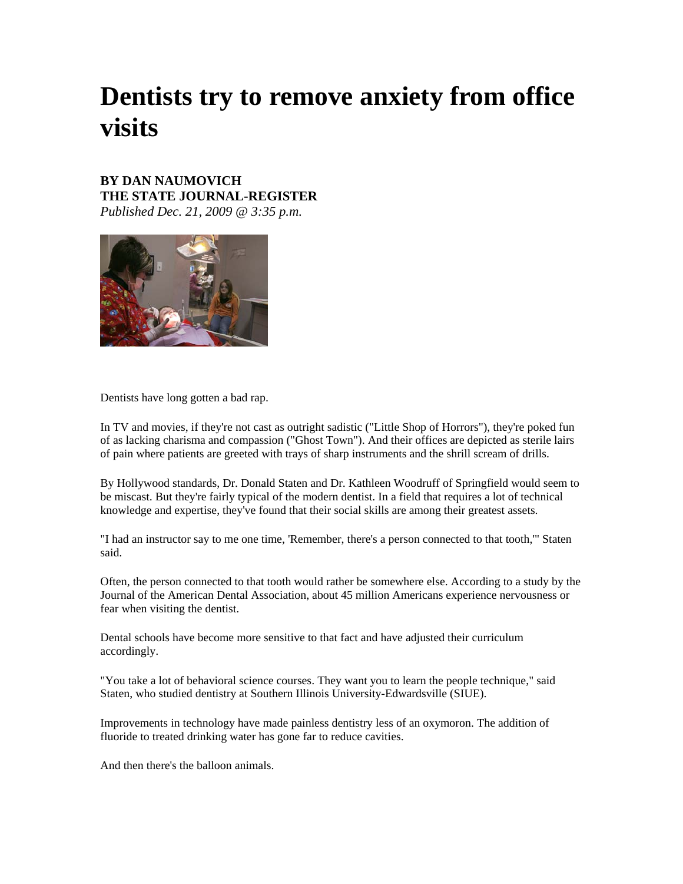# **Dentists try to remove anxiety from office visits**

## **BY DAN NAUMOVICH THE STATE JOURNAL-REGISTER**

*Published Dec. 21, 2009 @ 3:35 p.m.*



Dentists have long gotten a bad rap.

In TV and movies, if they're not cast as outright sadistic ("Little Shop of Horrors"), they're poked fun of as lacking charisma and compassion ("Ghost Town"). And their offices are depicted as sterile lairs of pain where patients are greeted with trays of sharp instruments and the shrill scream of drills.

By Hollywood standards, Dr. Donald Staten and Dr. Kathleen Woodruff of Springfield would seem to be miscast. But they're fairly typical of the modern dentist. In a field that requires a lot of technical knowledge and expertise, they've found that their social skills are among their greatest assets.

"I had an instructor say to me one time, 'Remember, there's a person connected to that tooth,'" Staten said.

Often, the person connected to that tooth would rather be somewhere else. According to a study by the Journal of the American Dental Association, about 45 million Americans experience nervousness or fear when visiting the dentist.

Dental schools have become more sensitive to that fact and have adjusted their curriculum accordingly.

"You take a lot of behavioral science courses. They want you to learn the people technique," said Staten, who studied dentistry at Southern Illinois University-Edwardsville (SIUE).

Improvements in technology have made painless dentistry less of an oxymoron. The addition of fluoride to treated drinking water has gone far to reduce cavities.

And then there's the balloon animals.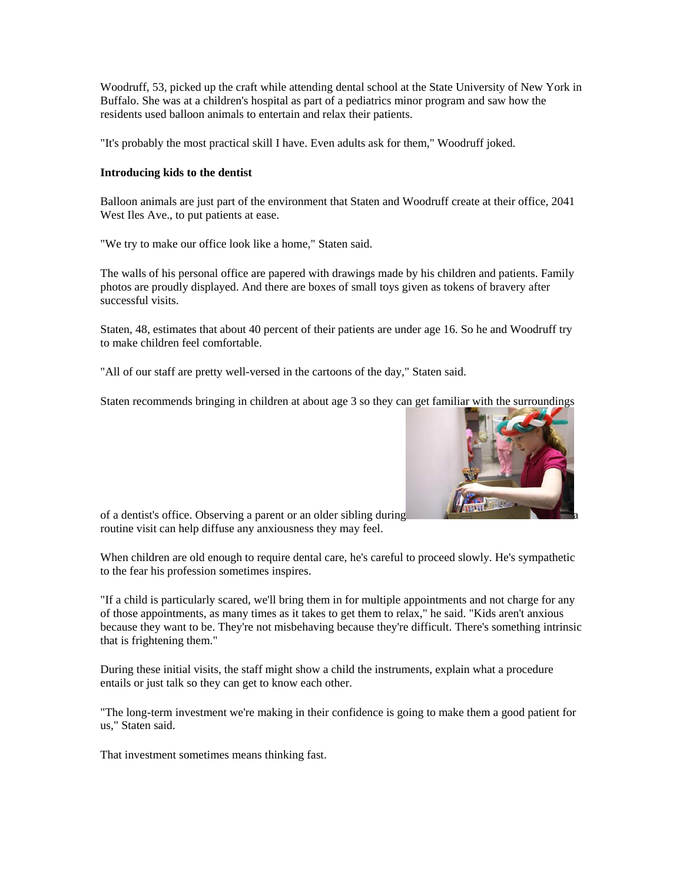Woodruff, 53, picked up the craft while attending dental school at the State University of New York in Buffalo. She was at a children's hospital as part of a pediatrics minor program and saw how the residents used balloon animals to entertain and relax their patients.

"It's probably the most practical skill I have. Even adults ask for them," Woodruff joked.

### **Introducing kids to the dentist**

Balloon animals are just part of the environment that Staten and Woodruff create at their office, 2041 West Iles Ave., to put patients at ease.

"We try to make our office look like a home," Staten said.

The walls of his personal office are papered with drawings made by his children and patients. Family photos are proudly displayed. And there are boxes of small toys given as tokens of bravery after successful visits.

Staten, 48, estimates that about 40 percent of their patients are under age 16. So he and Woodruff try to make children feel comfortable.

"All of our staff are pretty well-versed in the cartoons of the day," Staten said.

Staten recommends bringing in children at about age 3 so they can get familiar with the surroundings



of a dentist's office. Observing a parent or an older sibling during routine visit can help diffuse any anxiousness they may feel.

When children are old enough to require dental care, he's careful to proceed slowly. He's sympathetic to the fear his profession sometimes inspires.

"If a child is particularly scared, we'll bring them in for multiple appointments and not charge for any of those appointments, as many times as it takes to get them to relax," he said. "Kids aren't anxious because they want to be. They're not misbehaving because they're difficult. There's something intrinsic that is frightening them."

During these initial visits, the staff might show a child the instruments, explain what a procedure entails or just talk so they can get to know each other.

"The long-term investment we're making in their confidence is going to make them a good patient for us," Staten said.

That investment sometimes means thinking fast.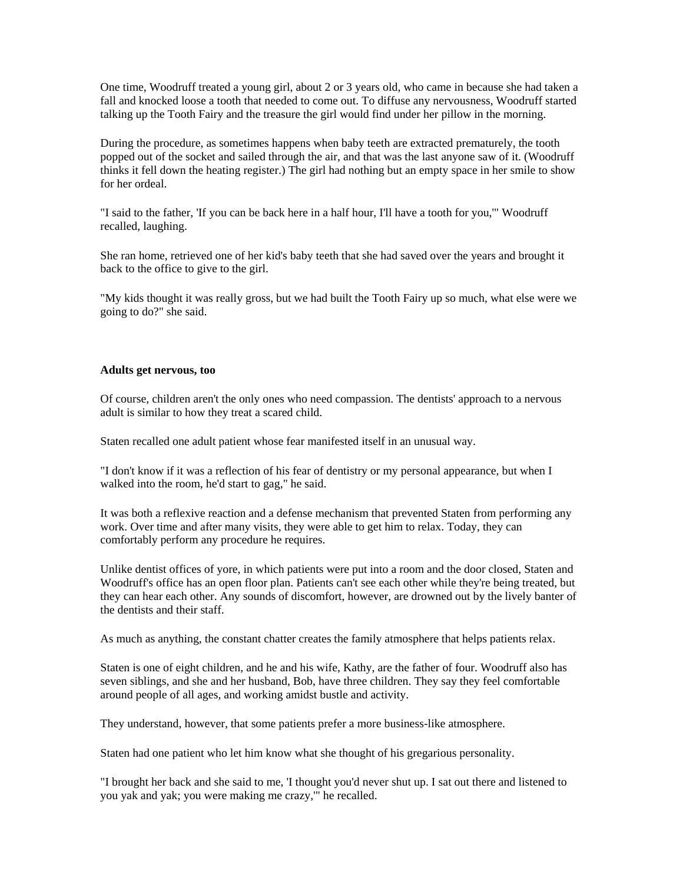One time, Woodruff treated a young girl, about 2 or 3 years old, who came in because she had taken a fall and knocked loose a tooth that needed to come out. To diffuse any nervousness, Woodruff started talking up the Tooth Fairy and the treasure the girl would find under her pillow in the morning.

During the procedure, as sometimes happens when baby teeth are extracted prematurely, the tooth popped out of the socket and sailed through the air, and that was the last anyone saw of it. (Woodruff thinks it fell down the heating register.) The girl had nothing but an empty space in her smile to show for her ordeal.

"I said to the father, 'If you can be back here in a half hour, I'll have a tooth for you,'" Woodruff recalled, laughing.

She ran home, retrieved one of her kid's baby teeth that she had saved over the years and brought it back to the office to give to the girl.

"My kids thought it was really gross, but we had built the Tooth Fairy up so much, what else were we going to do?" she said.

#### **Adults get nervous, too**

Of course, children aren't the only ones who need compassion. The dentists' approach to a nervous adult is similar to how they treat a scared child.

Staten recalled one adult patient whose fear manifested itself in an unusual way.

"I don't know if it was a reflection of his fear of dentistry or my personal appearance, but when I walked into the room, he'd start to gag," he said.

It was both a reflexive reaction and a defense mechanism that prevented Staten from performing any work. Over time and after many visits, they were able to get him to relax. Today, they can comfortably perform any procedure he requires.

Unlike dentist offices of yore, in which patients were put into a room and the door closed, Staten and Woodruff's office has an open floor plan. Patients can't see each other while they're being treated, but they can hear each other. Any sounds of discomfort, however, are drowned out by the lively banter of the dentists and their staff.

As much as anything, the constant chatter creates the family atmosphere that helps patients relax.

Staten is one of eight children, and he and his wife, Kathy, are the father of four. Woodruff also has seven siblings, and she and her husband, Bob, have three children. They say they feel comfortable around people of all ages, and working amidst bustle and activity.

They understand, however, that some patients prefer a more business-like atmosphere.

Staten had one patient who let him know what she thought of his gregarious personality.

"I brought her back and she said to me, 'I thought you'd never shut up. I sat out there and listened to you yak and yak; you were making me crazy,'" he recalled.